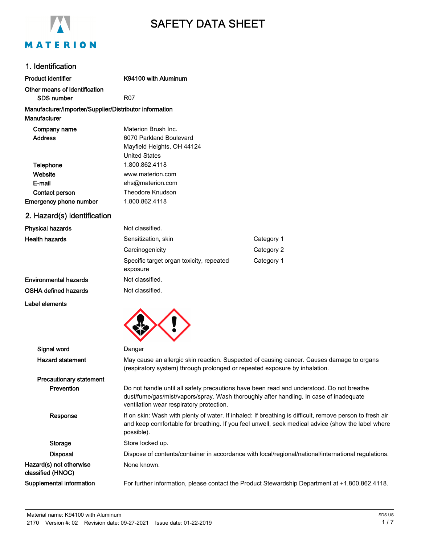

# SAFETY DATA SHEET

## 1. Identification

| Product identifier                                                     | K94100 with Aluminum                                                                                                                                                                                                           |                                                                                                     |
|------------------------------------------------------------------------|--------------------------------------------------------------------------------------------------------------------------------------------------------------------------------------------------------------------------------|-----------------------------------------------------------------------------------------------------|
| Other means of identification                                          |                                                                                                                                                                                                                                |                                                                                                     |
| <b>SDS number</b>                                                      | <b>R07</b>                                                                                                                                                                                                                     |                                                                                                     |
| Manufacturer/Importer/Supplier/Distributor information<br>Manufacturer |                                                                                                                                                                                                                                |                                                                                                     |
| Company name                                                           | Materion Brush Inc.                                                                                                                                                                                                            |                                                                                                     |
| <b>Address</b>                                                         | 6070 Parkland Boulevard                                                                                                                                                                                                        |                                                                                                     |
|                                                                        | Mayfield Heights, OH 44124                                                                                                                                                                                                     |                                                                                                     |
|                                                                        | <b>United States</b>                                                                                                                                                                                                           |                                                                                                     |
| Telephone                                                              | 1.800.862.4118                                                                                                                                                                                                                 |                                                                                                     |
| Website                                                                | www.materion.com                                                                                                                                                                                                               |                                                                                                     |
| E-mail                                                                 | ehs@materion.com                                                                                                                                                                                                               |                                                                                                     |
| Contact person                                                         | Theodore Knudson                                                                                                                                                                                                               |                                                                                                     |
| <b>Emergency phone number</b>                                          | 1.800.862.4118                                                                                                                                                                                                                 |                                                                                                     |
| 2. Hazard(s) identification                                            |                                                                                                                                                                                                                                |                                                                                                     |
| <b>Physical hazards</b>                                                | Not classified.                                                                                                                                                                                                                |                                                                                                     |
| <b>Health hazards</b>                                                  | Sensitization, skin                                                                                                                                                                                                            | Category 1                                                                                          |
|                                                                        | Carcinogenicity                                                                                                                                                                                                                | Category 2                                                                                          |
|                                                                        | Specific target organ toxicity, repeated<br>exposure                                                                                                                                                                           | Category 1                                                                                          |
| <b>Environmental hazards</b>                                           | Not classified.                                                                                                                                                                                                                |                                                                                                     |
| OSHA defined hazards                                                   | Not classified.                                                                                                                                                                                                                |                                                                                                     |
| Label elements                                                         |                                                                                                                                                                                                                                |                                                                                                     |
|                                                                        |                                                                                                                                                                                                                                |                                                                                                     |
| Signal word                                                            | Danger                                                                                                                                                                                                                         |                                                                                                     |
| <b>Hazard statement</b>                                                | May cause an allergic skin reaction. Suspected of causing cancer. Causes damage to organs<br>(respiratory system) through prolonged or repeated exposure by inhalation.                                                        |                                                                                                     |
| <b>Precautionary statement</b>                                         |                                                                                                                                                                                                                                |                                                                                                     |
| Prevention                                                             | Do not handle until all safety precautions have been read and understood. Do not breathe<br>dust/fume/gas/mist/vapors/spray. Wash thoroughly after handling. In case of inadequate<br>ventilation wear respiratory protection. |                                                                                                     |
| Response                                                               | If on skin: Wash with plenty of water. If inhaled: If breathing is difficult, remove person to fresh air<br>and keep comfortable for breathing. If you feel unwell, seek medical advice (show the label where<br>possible).    |                                                                                                     |
| Storage                                                                | Store locked up.                                                                                                                                                                                                               |                                                                                                     |
| <b>Disposal</b>                                                        |                                                                                                                                                                                                                                | Dispose of contents/container in accordance with local/regional/national/international regulations. |
| Hazard(s) not otherwise<br>classified (HNOC)                           | None known.                                                                                                                                                                                                                    |                                                                                                     |

Supplemental information For further information, please contact the Product Stewardship Department at +1.800.862.4118.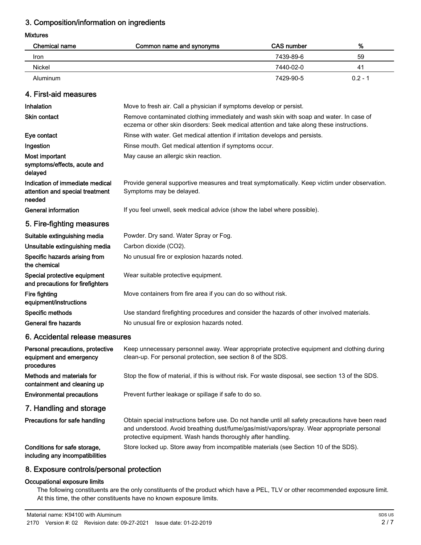## 3. Composition/information on ingredients

#### Mixtures

| Chemical name | Common name and synonyms | CAS number | %         |
|---------------|--------------------------|------------|-----------|
| Iron          |                          | 7439-89-6  | 59        |
| Nickel        |                          | 7440-02-0  | 41        |
| Aluminum      |                          | 7429-90-5  | $0.2 - 1$ |

## 4. First-aid measures

| Inhalation                                                                   | Move to fresh air. Call a physician if symptoms develop or persist.                                                                                                                 |
|------------------------------------------------------------------------------|-------------------------------------------------------------------------------------------------------------------------------------------------------------------------------------|
| <b>Skin contact</b>                                                          | Remove contaminated clothing immediately and wash skin with soap and water. In case of<br>eczema or other skin disorders: Seek medical attention and take along these instructions. |
| Eye contact                                                                  | Rinse with water. Get medical attention if irritation develops and persists.                                                                                                        |
| Ingestion                                                                    | Rinse mouth. Get medical attention if symptoms occur.                                                                                                                               |
| Most important<br>symptoms/effects, acute and<br>delayed                     | May cause an allergic skin reaction.                                                                                                                                                |
| Indication of immediate medical<br>attention and special treatment<br>needed | Provide general supportive measures and treat symptomatically. Keep victim under observation.<br>Symptoms may be delayed.                                                           |
| <b>General information</b>                                                   | If you feel unwell, seek medical advice (show the label where possible).                                                                                                            |
| 5. Fire-fighting measures                                                    |                                                                                                                                                                                     |
| Suitable extinguishing media                                                 | Powder. Dry sand. Water Spray or Fog.                                                                                                                                               |
| Unsuitable extinguishing media                                               | Carbon dioxide (CO2).                                                                                                                                                               |
| Specific hazards arising from<br>the chemical                                | No unusual fire or explosion hazards noted.                                                                                                                                         |
| Special protective equipment<br>and precautions for firefighters             | Wear suitable protective equipment.                                                                                                                                                 |
| Fire fighting<br>equipment/instructions                                      | Move containers from fire area if you can do so without risk.                                                                                                                       |
| Specific methods                                                             | Use standard firefighting procedures and consider the hazards of other involved materials.                                                                                          |
| General fire hazards                                                         | No unusual fire or explosion hazards noted.                                                                                                                                         |
| 6. Accidental release measures                                               |                                                                                                                                                                                     |
|                                                                              |                                                                                                                                                                                     |

#### Keep unnecessary personnel away. Wear appropriate protective equipment and clothing during clean-up. For personal protection, see section 8 of the SDS. Personal precautions, protective equipment and emergency procedures Methods and materials for Stop the flow of material, if this is without risk. For waste disposal, see section 13 of the SDS. containment and cleaning up Environmental precautions Prevent further leakage or spillage if safe to do so. 7. Handling and storage Obtain special instructions before use. Do not handle until all safety precautions have been read and understood. Avoid breathing dust/fume/gas/mist/vapors/spray. Wear appropriate personal protective equipment. Wash hands thoroughly after handling. Precautions for safe handling Conditions for safe storage, Store locked up. Store away from incompatible materials (see Section 10 of the SDS). including any incompatibilities

## 8. Exposure controls/personal protection

#### Occupational exposure limits

The following constituents are the only constituents of the product which have a PEL, TLV or other recommended exposure limit. At this time, the other constituents have no known exposure limits.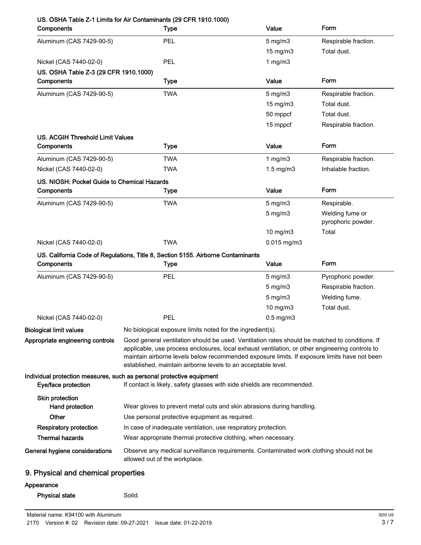| Components                                  | <b>Type</b>                                                                                                                                                                                                                                                                                                                                                        | Value             | Form                                  |
|---------------------------------------------|--------------------------------------------------------------------------------------------------------------------------------------------------------------------------------------------------------------------------------------------------------------------------------------------------------------------------------------------------------------------|-------------------|---------------------------------------|
| Aluminum (CAS 7429-90-5)                    | <b>PEL</b>                                                                                                                                                                                                                                                                                                                                                         | $5$ mg/m $3$      | Respirable fraction.                  |
|                                             |                                                                                                                                                                                                                                                                                                                                                                    | 15 mg/m3          | Total dust.                           |
| Nickel (CAS 7440-02-0)                      | PEL                                                                                                                                                                                                                                                                                                                                                                | 1 $mg/m3$         |                                       |
| US. OSHA Table Z-3 (29 CFR 1910.1000)       |                                                                                                                                                                                                                                                                                                                                                                    |                   |                                       |
| Components                                  | <b>Type</b>                                                                                                                                                                                                                                                                                                                                                        | Value             | Form                                  |
| Aluminum (CAS 7429-90-5)                    | <b>TWA</b>                                                                                                                                                                                                                                                                                                                                                         | $5$ mg/m $3$      | Respirable fraction.                  |
|                                             |                                                                                                                                                                                                                                                                                                                                                                    | $15 \text{ mg/m}$ | Total dust.                           |
|                                             |                                                                                                                                                                                                                                                                                                                                                                    | 50 mppcf          | Total dust.                           |
|                                             |                                                                                                                                                                                                                                                                                                                                                                    | 15 mppcf          | Respirable fraction.                  |
| US. ACGIH Threshold Limit Values            |                                                                                                                                                                                                                                                                                                                                                                    |                   |                                       |
| Components                                  | <b>Type</b>                                                                                                                                                                                                                                                                                                                                                        | Value             | Form                                  |
| Aluminum (CAS 7429-90-5)                    | <b>TWA</b>                                                                                                                                                                                                                                                                                                                                                         | 1 $mg/m3$         | Respirable fraction.                  |
| Nickel (CAS 7440-02-0)                      | <b>TWA</b>                                                                                                                                                                                                                                                                                                                                                         | $1.5$ mg/m $3$    | Inhalable fraction.                   |
| US. NIOSH: Pocket Guide to Chemical Hazards |                                                                                                                                                                                                                                                                                                                                                                    |                   |                                       |
| Components                                  | <b>Type</b>                                                                                                                                                                                                                                                                                                                                                        | Value             | Form                                  |
| Aluminum (CAS 7429-90-5)                    | <b>TWA</b>                                                                                                                                                                                                                                                                                                                                                         | $5$ mg/m $3$      | Respirable.                           |
|                                             |                                                                                                                                                                                                                                                                                                                                                                    | $5$ mg/m $3$      | Welding fume or<br>pyrophoric powder. |
|                                             |                                                                                                                                                                                                                                                                                                                                                                    | 10 mg/m3          | Total                                 |
| Nickel (CAS 7440-02-0)                      | <b>TWA</b>                                                                                                                                                                                                                                                                                                                                                         | $0.015$ mg/m3     |                                       |
|                                             | US. California Code of Regulations, Title 8, Section 5155. Airborne Contaminants                                                                                                                                                                                                                                                                                   |                   |                                       |
| Components                                  | <b>Type</b>                                                                                                                                                                                                                                                                                                                                                        | Value             | Form                                  |
| Aluminum (CAS 7429-90-5)                    | PEL                                                                                                                                                                                                                                                                                                                                                                | $5$ mg/m $3$      | Pyrophoric powder.                    |
|                                             |                                                                                                                                                                                                                                                                                                                                                                    | $5 \text{ mg/m}$  | Respirable fraction.                  |
|                                             |                                                                                                                                                                                                                                                                                                                                                                    | $5$ mg/m $3$      | Welding fume.                         |
|                                             |                                                                                                                                                                                                                                                                                                                                                                    | 10 mg/m3          | Total dust.                           |
| Nickel (CAS 7440-02-0)                      | PEL                                                                                                                                                                                                                                                                                                                                                                | $0.5$ mg/m $3$    |                                       |
| <b>Biological limit values</b>              | No biological exposure limits noted for the ingredient(s).                                                                                                                                                                                                                                                                                                         |                   |                                       |
| Appropriate engineering controls            | Good general ventilation should be used. Ventilation rates should be matched to conditions. If<br>applicable, use process enclosures, local exhaust ventilation, or other engineering controls to<br>maintain airborne levels below recommended exposure limits. If exposure limits have not been<br>established, maintain airborne levels to an acceptable level. |                   |                                       |
| Eye/face protection                         | Individual protection measures, such as personal protective equipment<br>If contact is likely, safety glasses with side shields are recommended.                                                                                                                                                                                                                   |                   |                                       |
| <b>Skin protection</b><br>Hand protection   | Wear gloves to prevent metal cuts and skin abrasions during handling.                                                                                                                                                                                                                                                                                              |                   |                                       |
| <b>Other</b>                                | Use personal protective equipment as required.                                                                                                                                                                                                                                                                                                                     |                   |                                       |
| <b>Respiratory protection</b>               | In case of inadequate ventilation, use respiratory protection.                                                                                                                                                                                                                                                                                                     |                   |                                       |
| <b>Thermal hazards</b>                      | Wear appropriate thermal protective clothing, when necessary.                                                                                                                                                                                                                                                                                                      |                   |                                       |
| General hygiene considerations              | Observe any medical surveillance requirements. Contaminated work clothing should not be<br>allowed out of the workplace.                                                                                                                                                                                                                                           |                   |                                       |
|                                             |                                                                                                                                                                                                                                                                                                                                                                    |                   |                                       |
| 9. Physical and chemical properties         |                                                                                                                                                                                                                                                                                                                                                                    |                   |                                       |

### Appearance

| <b>Physical state</b> | Solid. |
|-----------------------|--------|
|-----------------------|--------|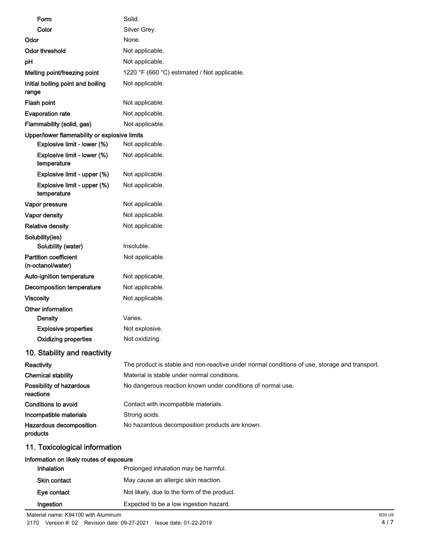| Form                                              | Solid.                                                                                        |
|---------------------------------------------------|-----------------------------------------------------------------------------------------------|
| Color                                             | Silver Grey.                                                                                  |
| Odor                                              | None.                                                                                         |
| <b>Odor threshold</b>                             | Not applicable.                                                                               |
| pH                                                | Not applicable.                                                                               |
| Melting point/freezing point                      | 1220 °F (660 °C) estimated / Not applicable.                                                  |
| Initial boiling point and boiling<br>range        | Not applicable.                                                                               |
| Flash point                                       | Not applicable.                                                                               |
| <b>Evaporation rate</b>                           | Not applicable.                                                                               |
| Flammability (solid, gas)                         | Not applicable.                                                                               |
| Upper/lower flammability or explosive limits      |                                                                                               |
| Explosive limit - lower (%)                       | Not applicable.                                                                               |
| Explosive limit - lower (%)<br>temperature        | Not applicable.                                                                               |
| Explosive limit - upper (%)                       | Not applicable.                                                                               |
| Explosive limit - upper (%)<br>temperature        | Not applicable.                                                                               |
| Vapor pressure                                    | Not applicable.                                                                               |
| Vapor density                                     | Not applicable.                                                                               |
| <b>Relative density</b>                           | Not applicable.                                                                               |
| Solubility(ies)<br>Solubility (water)             | Insoluble.                                                                                    |
| <b>Partition coefficient</b><br>(n-octanol/water) | Not applicable.                                                                               |
| Auto-ignition temperature                         | Not applicable.                                                                               |
| <b>Decomposition temperature</b>                  | Not applicable.                                                                               |
| <b>Viscosity</b>                                  | Not applicable.                                                                               |
| Other information<br>Density                      | Varies.                                                                                       |
| <b>Explosive properties</b>                       | Not explosive.                                                                                |
| <b>Oxidizing properties</b>                       | Not oxidizing.                                                                                |
| 10. Stability and reactivity                      |                                                                                               |
| Reactivity                                        | The product is stable and non-reactive under normal conditions of use, storage and transport. |
| <b>Chemical stability</b>                         | Material is stable under normal conditions.                                                   |
| Possibility of hazardous<br>reactions             | No dangerous reaction known under conditions of normal use.                                   |
| <b>Conditions to avoid</b>                        | Contact with incompatible materials.                                                          |
| Incompatible materials                            | Strong acids.                                                                                 |
| Hazardous decomposition<br>products               | No hazardous decomposition products are known.                                                |
| 11. Toxicological information                     |                                                                                               |

# Information on likely routes of exposure

| Inhalation   | Prolonged inhalation may be harmful.        |
|--------------|---------------------------------------------|
| Skin contact | May cause an allergic skin reaction.        |
| Eye contact  | Not likely, due to the form of the product. |
| Ingestion    | Expected to be a low ingestion hazard.      |

Material name: K94100 with Aluminum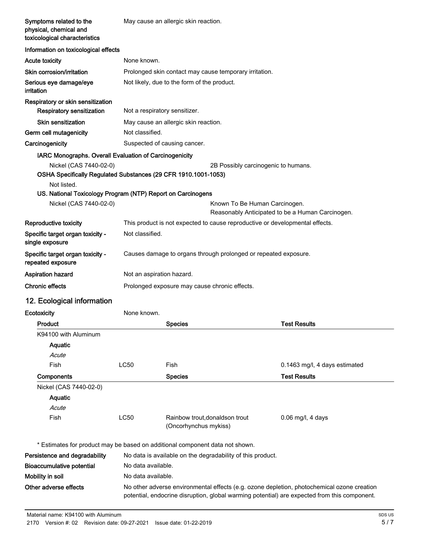| Symptoms related to the<br>physical, chemical and<br>toxicological characteristics                                                                                                               |                               | May cause an allergic skin reaction.                    |                                                                              |                                                                                                                                                                                            |
|--------------------------------------------------------------------------------------------------------------------------------------------------------------------------------------------------|-------------------------------|---------------------------------------------------------|------------------------------------------------------------------------------|--------------------------------------------------------------------------------------------------------------------------------------------------------------------------------------------|
| Information on toxicological effects                                                                                                                                                             |                               |                                                         |                                                                              |                                                                                                                                                                                            |
| <b>Acute toxicity</b>                                                                                                                                                                            | None known.                   |                                                         |                                                                              |                                                                                                                                                                                            |
| Skin corrosion/irritation                                                                                                                                                                        |                               | Prolonged skin contact may cause temporary irritation.  |                                                                              |                                                                                                                                                                                            |
| Serious eye damage/eye<br>irritation                                                                                                                                                             |                               | Not likely, due to the form of the product.             |                                                                              |                                                                                                                                                                                            |
| Respiratory or skin sensitization<br><b>Respiratory sensitization</b>                                                                                                                            | Not a respiratory sensitizer. |                                                         |                                                                              |                                                                                                                                                                                            |
| <b>Skin sensitization</b>                                                                                                                                                                        |                               | May cause an allergic skin reaction.                    |                                                                              |                                                                                                                                                                                            |
| Germ cell mutagenicity                                                                                                                                                                           | Not classified.               |                                                         |                                                                              |                                                                                                                                                                                            |
| Carcinogenicity                                                                                                                                                                                  |                               | Suspected of causing cancer.                            |                                                                              |                                                                                                                                                                                            |
| IARC Monographs. Overall Evaluation of Carcinogenicity                                                                                                                                           |                               |                                                         |                                                                              |                                                                                                                                                                                            |
| Nickel (CAS 7440-02-0)<br>OSHA Specifically Regulated Substances (29 CFR 1910.1001-1053)<br>Not listed.<br>US. National Toxicology Program (NTP) Report on Carcinogens<br>Nickel (CAS 7440-02-0) |                               |                                                         | 2B Possibly carcinogenic to humans.<br>Known To Be Human Carcinogen.         |                                                                                                                                                                                            |
|                                                                                                                                                                                                  |                               |                                                         |                                                                              | Reasonably Anticipated to be a Human Carcinogen.                                                                                                                                           |
| Reproductive toxicity                                                                                                                                                                            |                               |                                                         | This product is not expected to cause reproductive or developmental effects. |                                                                                                                                                                                            |
| Specific target organ toxicity -<br>single exposure                                                                                                                                              | Not classified.               |                                                         |                                                                              |                                                                                                                                                                                            |
| Specific target organ toxicity -<br>repeated exposure                                                                                                                                            |                               |                                                         | Causes damage to organs through prolonged or repeated exposure.              |                                                                                                                                                                                            |
| <b>Aspiration hazard</b>                                                                                                                                                                         | Not an aspiration hazard.     |                                                         |                                                                              |                                                                                                                                                                                            |
| <b>Chronic effects</b>                                                                                                                                                                           |                               | Prolonged exposure may cause chronic effects.           |                                                                              |                                                                                                                                                                                            |
| 12. Ecological information                                                                                                                                                                       |                               |                                                         |                                                                              |                                                                                                                                                                                            |
| Ecotoxicity                                                                                                                                                                                      | None known.                   |                                                         |                                                                              |                                                                                                                                                                                            |
| Product                                                                                                                                                                                          |                               | <b>Species</b>                                          |                                                                              | <b>Test Results</b>                                                                                                                                                                        |
| K94100 with Aluminum                                                                                                                                                                             |                               |                                                         |                                                                              |                                                                                                                                                                                            |
| Aquatic                                                                                                                                                                                          |                               |                                                         |                                                                              |                                                                                                                                                                                            |
| Acute                                                                                                                                                                                            |                               |                                                         |                                                                              |                                                                                                                                                                                            |
| Fish                                                                                                                                                                                             | <b>LC50</b>                   | Fish                                                    |                                                                              | 0.1463 mg/l, 4 days estimated                                                                                                                                                              |
| Components                                                                                                                                                                                       |                               | <b>Species</b>                                          |                                                                              | <b>Test Results</b>                                                                                                                                                                        |
| Nickel (CAS 7440-02-0)                                                                                                                                                                           |                               |                                                         |                                                                              |                                                                                                                                                                                            |
| Aquatic                                                                                                                                                                                          |                               |                                                         |                                                                              |                                                                                                                                                                                            |
| Acute                                                                                                                                                                                            |                               |                                                         |                                                                              |                                                                                                                                                                                            |
| Fish                                                                                                                                                                                             | <b>LC50</b>                   | Rainbow trout, donaldson trout<br>(Oncorhynchus mykiss) |                                                                              | $0.06$ mg/l, 4 days                                                                                                                                                                        |
| * Estimates for product may be based on additional component data not shown.                                                                                                                     |                               |                                                         |                                                                              |                                                                                                                                                                                            |
| Persistence and degradability                                                                                                                                                                    |                               |                                                         | No data is available on the degradability of this product.                   |                                                                                                                                                                                            |
| <b>Bioaccumulative potential</b>                                                                                                                                                                 | No data available.            |                                                         |                                                                              |                                                                                                                                                                                            |
| Mobility in soil                                                                                                                                                                                 | No data available.            |                                                         |                                                                              |                                                                                                                                                                                            |
| Other adverse effects                                                                                                                                                                            |                               |                                                         |                                                                              | No other adverse environmental effects (e.g. ozone depletion, photochemical ozone creation<br>potential, endocrine disruption, global warming potential) are expected from this component. |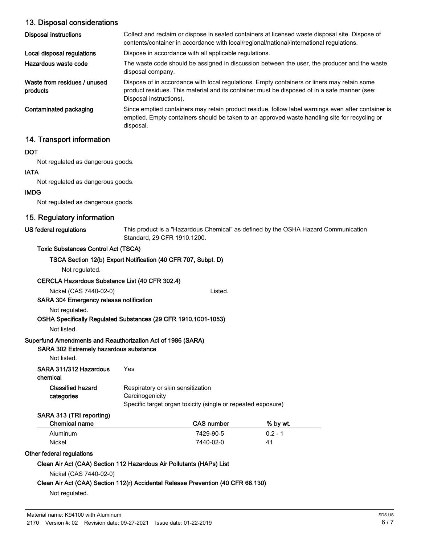## 13. Disposal considerations

| Disposal instructions                    | Collect and reclaim or dispose in sealed containers at licensed waste disposal site. Dispose of<br>contents/container in accordance with local/regional/national/international regulations.                            |
|------------------------------------------|------------------------------------------------------------------------------------------------------------------------------------------------------------------------------------------------------------------------|
| Local disposal regulations               | Dispose in accordance with all applicable regulations.                                                                                                                                                                 |
| Hazardous waste code                     | The waste code should be assigned in discussion between the user, the producer and the waste<br>disposal company.                                                                                                      |
| Waste from residues / unused<br>products | Dispose of in accordance with local regulations. Empty containers or liners may retain some<br>product residues. This material and its container must be disposed of in a safe manner (see:<br>Disposal instructions). |
| Contaminated packaging                   | Since emptied containers may retain product residue, follow label warnings even after container is<br>emptied. Empty containers should be taken to an approved waste handling site for recycling or<br>disposal.       |

## 14. Transport information

#### **DOT**

Not regulated as dangerous goods.

#### IATA

Not regulated as dangerous goods.

#### IMDG

Not regulated as dangerous goods.

## 15. Regulatory information

#### US federal regulations

This product is a "Hazardous Chemical" as defined by the OSHA Hazard Communication Standard, 29 CFR 1910.1200.

#### Toxic Substances Control Act (TSCA)

#### TSCA Section 12(b) Export Notification (40 CFR 707, Subpt. D)

Not regulated.

#### CERCLA Hazardous Substance List (40 CFR 302.4)

Nickel (CAS 7440-02-0) Listed.

#### SARA 304 Emergency release notification

Not regulated.

#### OSHA Specifically Regulated Substances (29 CFR 1910.1001-1053)

Not listed.

#### Superfund Amendments and Reauthorization Act of 1986 (SARA)

#### SARA 302 Extremely hazardous substance

Not listed.

| SARA 311/312 Hazardous     | Yes |
|----------------------------|-----|
| المستوال والمستوسط والمسار |     |

chemical

| <b>Classified hazard</b> | Respiratory or skin sensitization |
|--------------------------|-----------------------------------|
| categories               | Carcinogenicity                   |
|                          |                                   |

#### Specific target organ toxicity (single or repeated exposure)

#### SARA 313 (TRI reporting)

| Chemical name | CAS number | % by wt.  |  |
|---------------|------------|-----------|--|
| Aluminum      | 7429-90-5  | $0.2 - 1$ |  |
| Nickel        | 7440-02-0  | 41        |  |

#### Other federal regulations

#### Clean Air Act (CAA) Section 112 Hazardous Air Pollutants (HAPs) List

Nickel (CAS 7440-02-0)

#### Clean Air Act (CAA) Section 112(r) Accidental Release Prevention (40 CFR 68.130)

Not regulated.